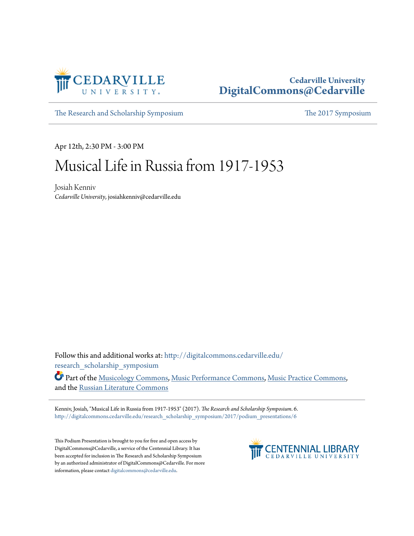

## **Cedarville University [DigitalCommons@Cedarville](http://digitalcommons.cedarville.edu?utm_source=digitalcommons.cedarville.edu%2Fresearch_scholarship_symposium%2F2017%2Fpodium_presentations%2F6&utm_medium=PDF&utm_campaign=PDFCoverPages)**

[The Research and Scholarship Symposium](http://digitalcommons.cedarville.edu/research_scholarship_symposium?utm_source=digitalcommons.cedarville.edu%2Fresearch_scholarship_symposium%2F2017%2Fpodium_presentations%2F6&utm_medium=PDF&utm_campaign=PDFCoverPages) [The 2017 Symposium](http://digitalcommons.cedarville.edu/research_scholarship_symposium/2017?utm_source=digitalcommons.cedarville.edu%2Fresearch_scholarship_symposium%2F2017%2Fpodium_presentations%2F6&utm_medium=PDF&utm_campaign=PDFCoverPages)

Apr 12th, 2:30 PM - 3:00 PM

## Musical Life in Russia from 1917-1953

Josiah Kenniv *Cedarville University*, josiahkenniv@cedarville.edu

Follow this and additional works at: [http://digitalcommons.cedarville.edu/](http://digitalcommons.cedarville.edu/research_scholarship_symposium?utm_source=digitalcommons.cedarville.edu%2Fresearch_scholarship_symposium%2F2017%2Fpodium_presentations%2F6&utm_medium=PDF&utm_campaign=PDFCoverPages) [research\\_scholarship\\_symposium](http://digitalcommons.cedarville.edu/research_scholarship_symposium?utm_source=digitalcommons.cedarville.edu%2Fresearch_scholarship_symposium%2F2017%2Fpodium_presentations%2F6&utm_medium=PDF&utm_campaign=PDFCoverPages)

Part of the [Musicology Commons,](http://network.bepress.com/hgg/discipline/521?utm_source=digitalcommons.cedarville.edu%2Fresearch_scholarship_symposium%2F2017%2Fpodium_presentations%2F6&utm_medium=PDF&utm_campaign=PDFCoverPages) [Music Performance Commons](http://network.bepress.com/hgg/discipline/1128?utm_source=digitalcommons.cedarville.edu%2Fresearch_scholarship_symposium%2F2017%2Fpodium_presentations%2F6&utm_medium=PDF&utm_campaign=PDFCoverPages), [Music Practice Commons,](http://network.bepress.com/hgg/discipline/523?utm_source=digitalcommons.cedarville.edu%2Fresearch_scholarship_symposium%2F2017%2Fpodium_presentations%2F6&utm_medium=PDF&utm_campaign=PDFCoverPages) and the [Russian Literature Commons](http://network.bepress.com/hgg/discipline/1317?utm_source=digitalcommons.cedarville.edu%2Fresearch_scholarship_symposium%2F2017%2Fpodium_presentations%2F6&utm_medium=PDF&utm_campaign=PDFCoverPages)

Kenniv, Josiah, "Musical Life in Russia from 1917-1953" (2017). *The Research and Scholarship Symposium*. 6. [http://digitalcommons.cedarville.edu/research\\_scholarship\\_symposium/2017/podium\\_presentations/6](http://digitalcommons.cedarville.edu/research_scholarship_symposium/2017/podium_presentations/6?utm_source=digitalcommons.cedarville.edu%2Fresearch_scholarship_symposium%2F2017%2Fpodium_presentations%2F6&utm_medium=PDF&utm_campaign=PDFCoverPages)

This Podium Presentation is brought to you for free and open access by DigitalCommons@Cedarville, a service of the Centennial Library. It has been accepted for inclusion in The Research and Scholarship Symposium by an authorized administrator of DigitalCommons@Cedarville. For more information, please contact [digitalcommons@cedarville.edu.](mailto:digitalcommons@cedarville.edu)